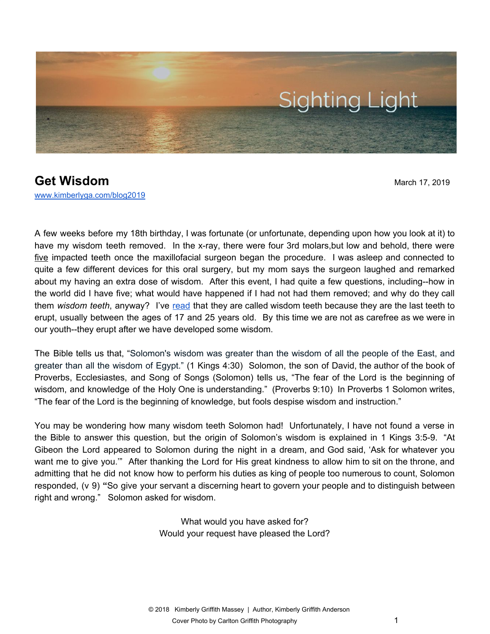

## **Get Wisdom** March 17, 2019 [www.kimberlyga.com/blog2019](http://www.kimberlyga.com/blog)

A few weeks before my 18th birthday, I was fortunate (or unfortunate, depending upon how you look at it) to have my wisdom teeth removed. In the x-ray, there were four 3rd molars,but low and behold, there were five impacted teeth once the maxillofacial surgeon began the procedure. I was asleep and connected to quite a few different devices for this oral surgery, but my mom says the surgeon laughed and remarked about my having an extra dose of wisdom. After this event, I had quite a few questions, including--how in the world did I have five; what would have happened if I had not had them removed; and why do they call them *wisdom teeth*, anyway? I've [read](https://centerstreetdental.net/blog/why-are-third-molars-called-wisdom-teeth-do-we-need-them) that they are called wisdom teeth because they are the last teeth to erupt, usually between the ages of 17 and 25 years old. By this time we are not as carefree as we were in our youth--they erupt after we have developed some wisdom.

The Bible tells us that, "Solomon's wisdom was greater than the wisdom of all the people of the East, and greater than all the wisdom of Egypt." (1 Kings 4:30) Solomon, the son of David, the author of the book of Proverbs, Ecclesiastes, and Song of Songs (Solomon) tells us, "The fear of the Lord is the beginning of wisdom, and knowledge of the Holy One is understanding." (Proverbs 9:10) In Proverbs 1 Solomon writes, "The fear of the Lord is the beginning of knowledge, but fools despise wisdom and instruction."

You may be wondering how many wisdom teeth Solomon had! Unfortunately, I have not found a verse in the Bible to answer this question, but the origin of Solomon's wisdom is explained in 1 Kings 3:5-9. "At Gibeon the Lord appeared to Solomon during the night in a dream, and God said, 'Ask for whatever you want me to give you.'" After thanking the Lord for His great kindness to allow him to sit on the throne, and admitting that he did not know how to perform his duties as king of people too numerous to count, Solomon responded, (v 9) **"**So give your servant a discerning heart to govern your people and to distinguish between right and wrong." Solomon asked for wisdom.

> What would you have asked for? Would your request have pleased the Lord?